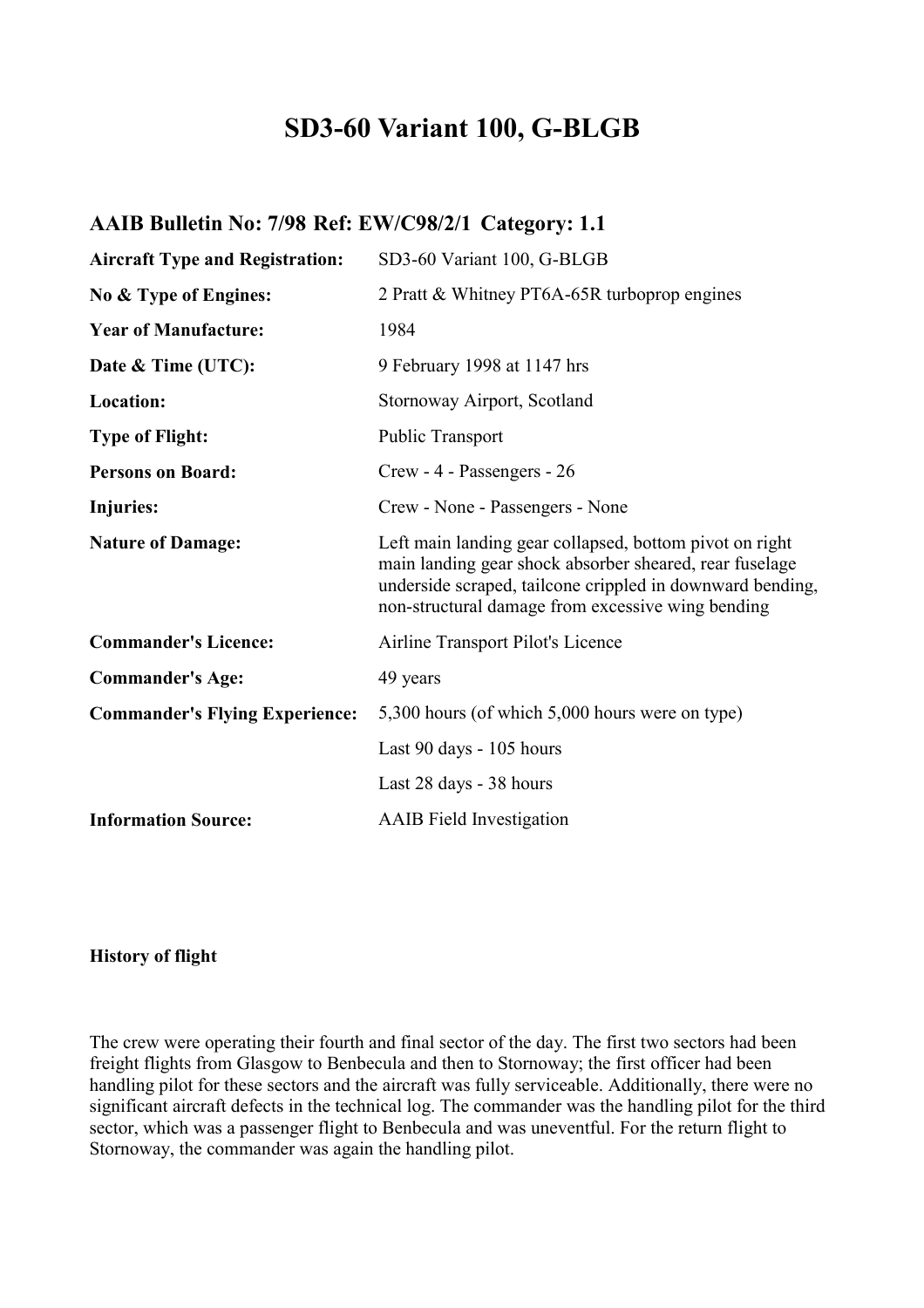# **SD3-60 Variant 100, G-BLGB**

# **AAIB Bulletin No: 7/98 Ref: EW/C98/2/1 Category: 1.1**

| <b>Aircraft Type and Registration:</b> | SD3-60 Variant 100, G-BLGB                                                                                                                                                                                                           |
|----------------------------------------|--------------------------------------------------------------------------------------------------------------------------------------------------------------------------------------------------------------------------------------|
| No & Type of Engines:                  | 2 Pratt & Whitney PT6A-65R turboprop engines                                                                                                                                                                                         |
| <b>Year of Manufacture:</b>            | 1984                                                                                                                                                                                                                                 |
| Date & Time (UTC):                     | 9 February 1998 at 1147 hrs                                                                                                                                                                                                          |
| Location:                              | Stornoway Airport, Scotland                                                                                                                                                                                                          |
| <b>Type of Flight:</b>                 | <b>Public Transport</b>                                                                                                                                                                                                              |
| <b>Persons on Board:</b>               | Crew - 4 - Passengers - 26                                                                                                                                                                                                           |
| Injuries:                              | Crew - None - Passengers - None                                                                                                                                                                                                      |
| <b>Nature of Damage:</b>               | Left main landing gear collapsed, bottom pivot on right<br>main landing gear shock absorber sheared, rear fuselage<br>underside scraped, tailcone crippled in downward bending,<br>non-structural damage from excessive wing bending |
| <b>Commander's Licence:</b>            | Airline Transport Pilot's Licence                                                                                                                                                                                                    |
| <b>Commander's Age:</b>                | 49 years                                                                                                                                                                                                                             |
| <b>Commander's Flying Experience:</b>  | 5,300 hours (of which 5,000 hours were on type)                                                                                                                                                                                      |
|                                        | Last 90 days - 105 hours                                                                                                                                                                                                             |
|                                        | Last 28 days - 38 hours                                                                                                                                                                                                              |
| <b>Information Source:</b>             | <b>AAIB</b> Field Investigation                                                                                                                                                                                                      |

**History of flight** 

The crew were operating their fourth and final sector of the day. The first two sectors had been freight flights from Glasgow to Benbecula and then to Stornoway; the first officer had been handling pilot for these sectors and the aircraft was fully serviceable. Additionally, there were no significant aircraft defects in the technical log. The commander was the handling pilot for the third sector, which was a passenger flight to Benbecula and was uneventful. For the return flight to Stornoway, the commander was again the handling pilot.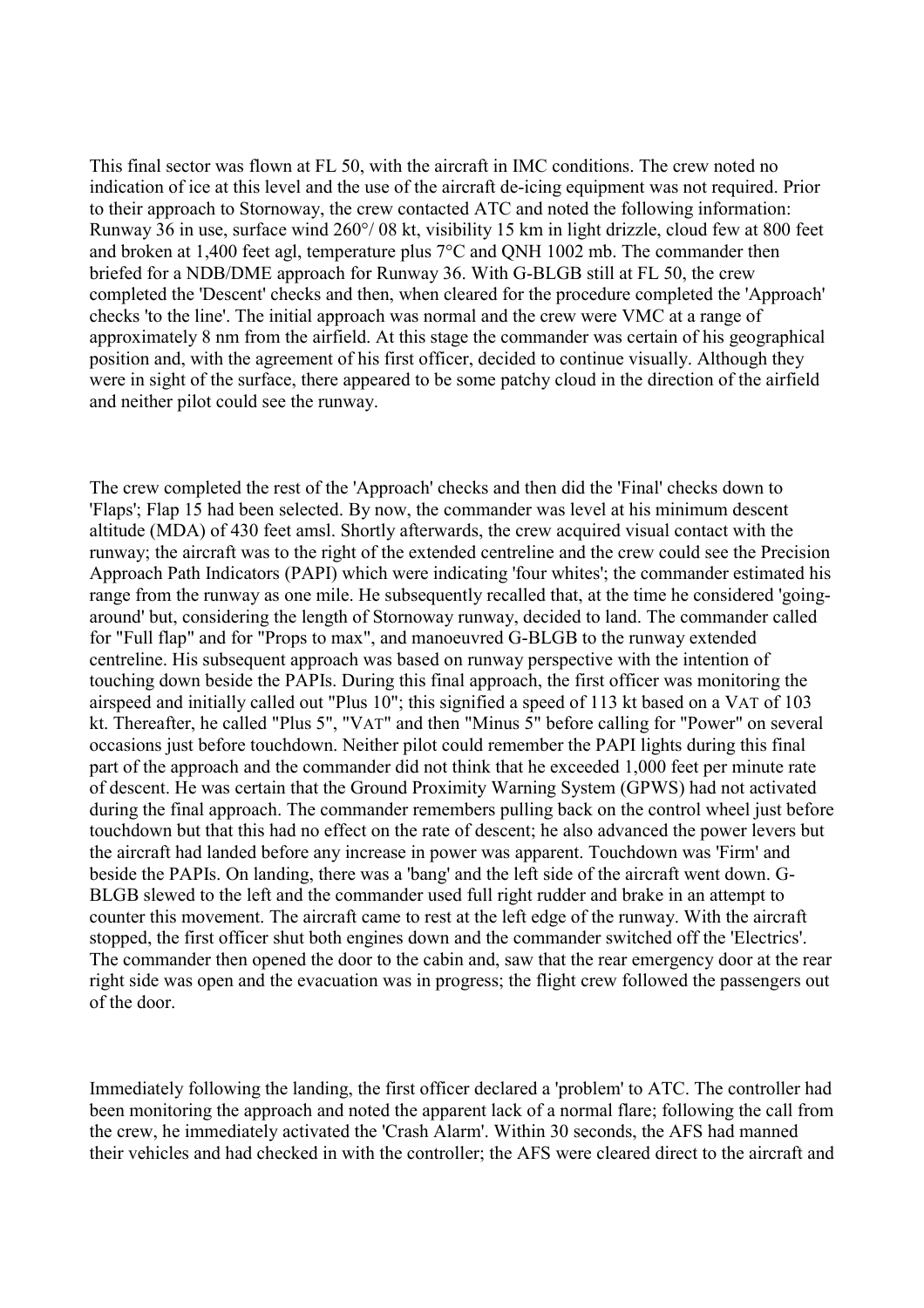This final sector was flown at FL 50, with the aircraft in IMC conditions. The crew noted no indication of ice at this level and the use of the aircraft de-icing equipment was not required. Prior to their approach to Stornoway, the crew contacted ATC and noted the following information: Runway 36 in use, surface wind 260°/ 08 kt, visibility 15 km in light drizzle, cloud few at 800 feet and broken at 1,400 feet agl, temperature plus 7°C and QNH 1002 mb. The commander then briefed for a NDB/DME approach for Runway 36. With G-BLGB still at FL 50, the crew completed the 'Descent' checks and then, when cleared for the procedure completed the 'Approach' checks 'to the line'. The initial approach was normal and the crew were VMC at a range of approximately 8 nm from the airfield. At this stage the commander was certain of his geographical position and, with the agreement of his first officer, decided to continue visually. Although they were in sight of the surface, there appeared to be some patchy cloud in the direction of the airfield and neither pilot could see the runway.

The crew completed the rest of the 'Approach' checks and then did the 'Final' checks down to 'Flaps'; Flap 15 had been selected. By now, the commander was level at his minimum descent altitude (MDA) of 430 feet amsl. Shortly afterwards, the crew acquired visual contact with the runway; the aircraft was to the right of the extended centreline and the crew could see the Precision Approach Path Indicators (PAPI) which were indicating 'four whites'; the commander estimated his range from the runway as one mile. He subsequently recalled that, at the time he considered 'goingaround' but, considering the length of Stornoway runway, decided to land. The commander called for "Full flap" and for "Props to max", and manoeuvred G-BLGB to the runway extended centreline. His subsequent approach was based on runway perspective with the intention of touching down beside the PAPIs. During this final approach, the first officer was monitoring the airspeed and initially called out "Plus 10"; this signified a speed of 113 kt based on a VAT of 103 kt. Thereafter, he called "Plus 5", "VAT" and then "Minus 5" before calling for "Power" on several occasions just before touchdown. Neither pilot could remember the PAPI lights during this final part of the approach and the commander did not think that he exceeded 1,000 feet per minute rate of descent. He was certain that the Ground Proximity Warning System (GPWS) had not activated during the final approach. The commander remembers pulling back on the control wheel just before touchdown but that this had no effect on the rate of descent; he also advanced the power levers but the aircraft had landed before any increase in power was apparent. Touchdown was 'Firm' and beside the PAPIs. On landing, there was a 'bang' and the left side of the aircraft went down. G-BLGB slewed to the left and the commander used full right rudder and brake in an attempt to counter this movement. The aircraft came to rest at the left edge of the runway. With the aircraft stopped, the first officer shut both engines down and the commander switched off the 'Electrics'. The commander then opened the door to the cabin and, saw that the rear emergency door at the rear right side was open and the evacuation was in progress; the flight crew followed the passengers out of the door.

Immediately following the landing, the first officer declared a 'problem' to ATC. The controller had been monitoring the approach and noted the apparent lack of a normal flare; following the call from the crew, he immediately activated the 'Crash Alarm'. Within 30 seconds, the AFS had manned their vehicles and had checked in with the controller; the AFS were cleared direct to the aircraft and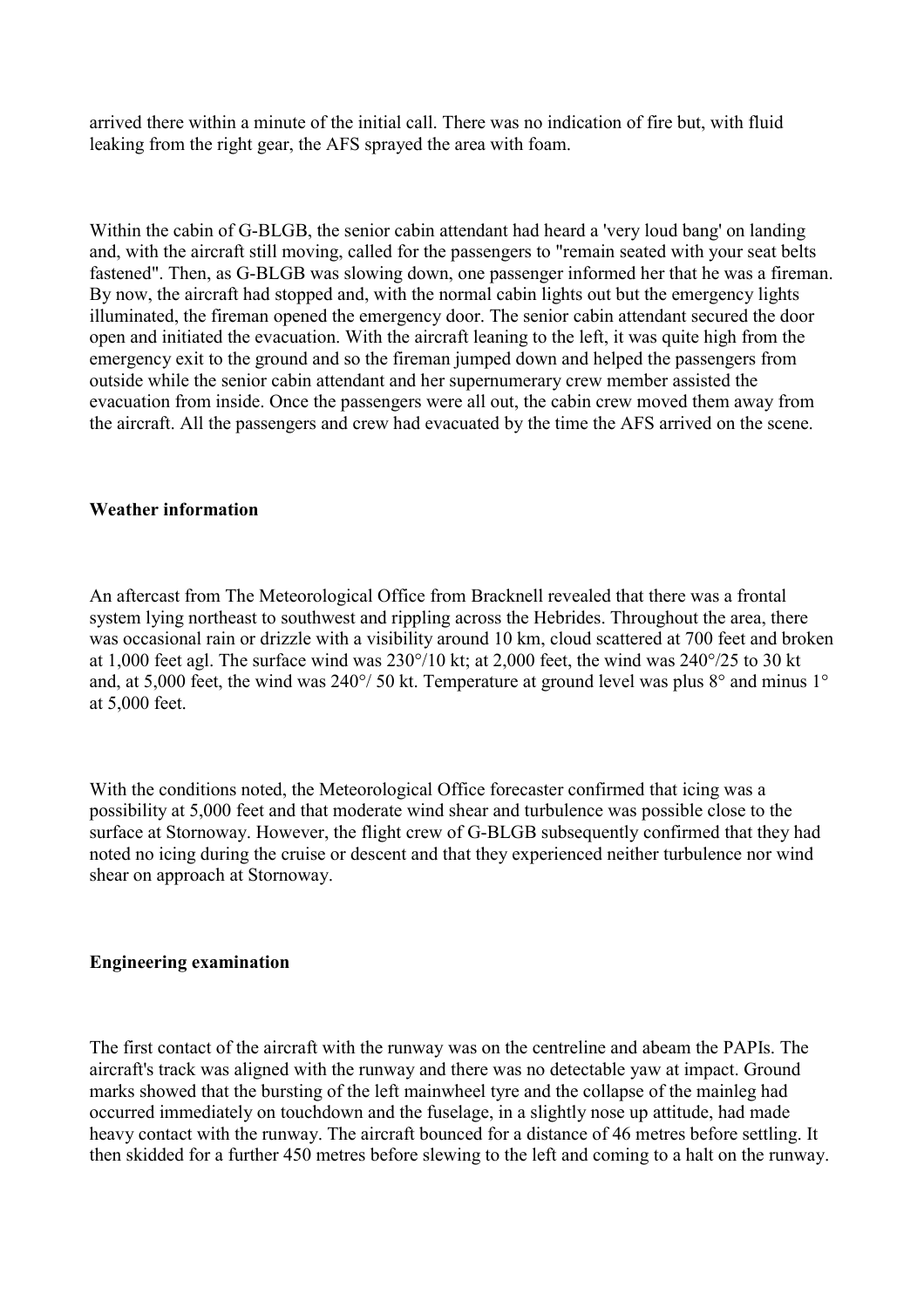arrived there within a minute of the initial call. There was no indication of fire but, with fluid leaking from the right gear, the AFS sprayed the area with foam.

Within the cabin of G-BLGB, the senior cabin attendant had heard a 'very loud bang' on landing and, with the aircraft still moving, called for the passengers to "remain seated with your seat belts fastened". Then, as G-BLGB was slowing down, one passenger informed her that he was a fireman. By now, the aircraft had stopped and, with the normal cabin lights out but the emergency lights illuminated, the fireman opened the emergency door. The senior cabin attendant secured the door open and initiated the evacuation. With the aircraft leaning to the left, it was quite high from the emergency exit to the ground and so the fireman jumped down and helped the passengers from outside while the senior cabin attendant and her supernumerary crew member assisted the evacuation from inside. Once the passengers were all out, the cabin crew moved them away from the aircraft. All the passengers and crew had evacuated by the time the AFS arrived on the scene.

# **Weather information**

An aftercast from The Meteorological Office from Bracknell revealed that there was a frontal system lying northeast to southwest and rippling across the Hebrides. Throughout the area, there was occasional rain or drizzle with a visibility around 10 km, cloud scattered at 700 feet and broken at 1,000 feet agl. The surface wind was 230°/10 kt; at 2,000 feet, the wind was 240°/25 to 30 kt and, at 5,000 feet, the wind was 240°/ 50 kt. Temperature at ground level was plus 8° and minus 1° at 5,000 feet.

With the conditions noted, the Meteorological Office forecaster confirmed that icing was a possibility at 5,000 feet and that moderate wind shear and turbulence was possible close to the surface at Stornoway. However, the flight crew of G-BLGB subsequently confirmed that they had noted no icing during the cruise or descent and that they experienced neither turbulence nor wind shear on approach at Stornoway.

# **Engineering examination**

The first contact of the aircraft with the runway was on the centreline and abeam the PAPIs. The aircraft's track was aligned with the runway and there was no detectable yaw at impact. Ground marks showed that the bursting of the left mainwheel tyre and the collapse of the mainleg had occurred immediately on touchdown and the fuselage, in a slightly nose up attitude, had made heavy contact with the runway. The aircraft bounced for a distance of 46 metres before settling. It then skidded for a further 450 metres before slewing to the left and coming to a halt on the runway.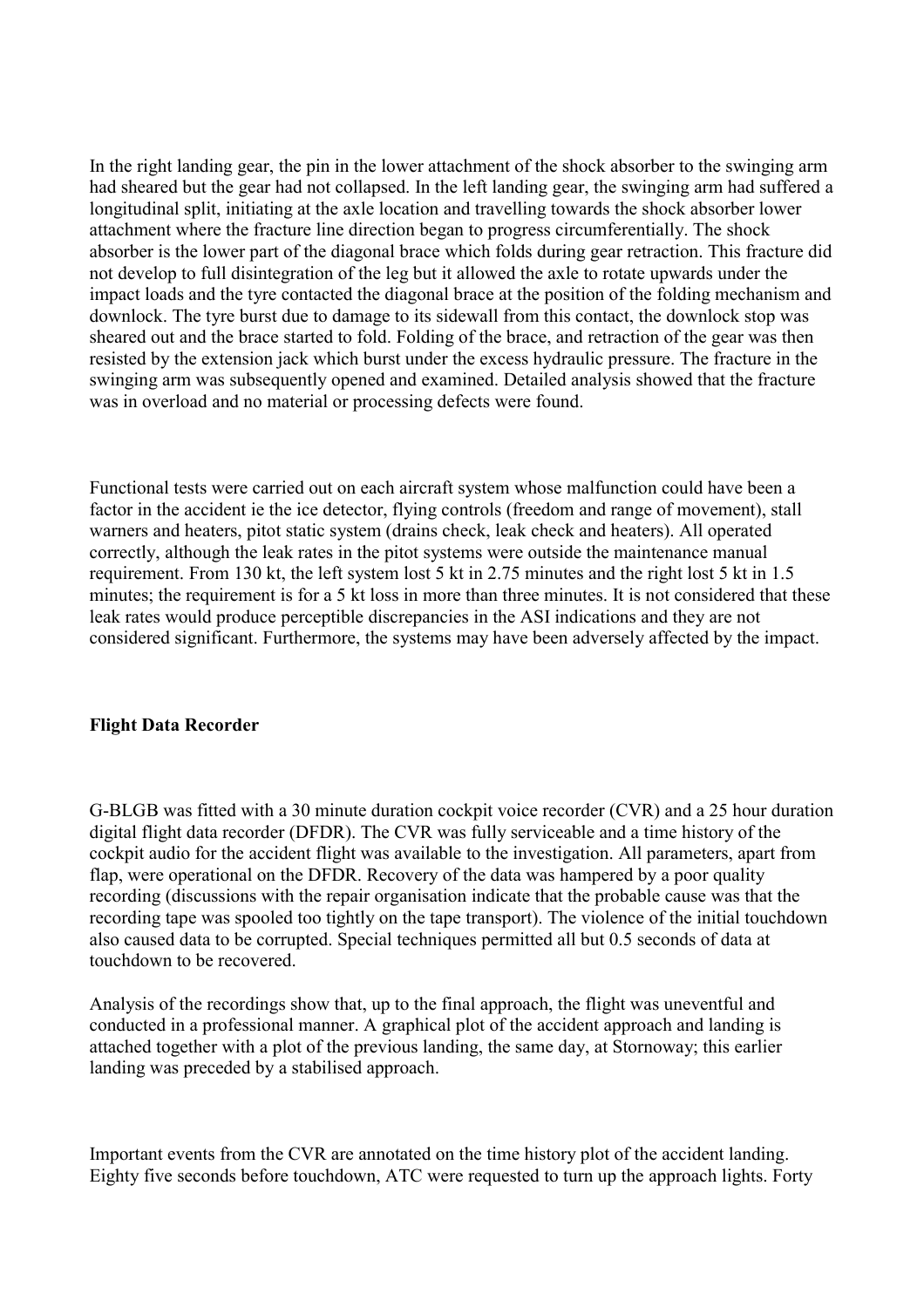In the right landing gear, the pin in the lower attachment of the shock absorber to the swinging arm had sheared but the gear had not collapsed. In the left landing gear, the swinging arm had suffered a longitudinal split, initiating at the axle location and travelling towards the shock absorber lower attachment where the fracture line direction began to progress circumferentially. The shock absorber is the lower part of the diagonal brace which folds during gear retraction. This fracture did not develop to full disintegration of the leg but it allowed the axle to rotate upwards under the impact loads and the tyre contacted the diagonal brace at the position of the folding mechanism and downlock. The tyre burst due to damage to its sidewall from this contact, the downlock stop was sheared out and the brace started to fold. Folding of the brace, and retraction of the gear was then resisted by the extension jack which burst under the excess hydraulic pressure. The fracture in the swinging arm was subsequently opened and examined. Detailed analysis showed that the fracture was in overload and no material or processing defects were found.

Functional tests were carried out on each aircraft system whose malfunction could have been a factor in the accident ie the ice detector, flying controls (freedom and range of movement), stall warners and heaters, pitot static system (drains check, leak check and heaters). All operated correctly, although the leak rates in the pitot systems were outside the maintenance manual requirement. From 130 kt, the left system lost 5 kt in 2.75 minutes and the right lost 5 kt in 1.5 minutes; the requirement is for a 5 kt loss in more than three minutes. It is not considered that these leak rates would produce perceptible discrepancies in the ASI indications and they are not considered significant. Furthermore, the systems may have been adversely affected by the impact.

# **Flight Data Recorder**

G-BLGB was fitted with a 30 minute duration cockpit voice recorder (CVR) and a 25 hour duration digital flight data recorder (DFDR). The CVR was fully serviceable and a time history of the cockpit audio for the accident flight was available to the investigation. All parameters, apart from flap, were operational on the DFDR. Recovery of the data was hampered by a poor quality recording (discussions with the repair organisation indicate that the probable cause was that the recording tape was spooled too tightly on the tape transport). The violence of the initial touchdown also caused data to be corrupted. Special techniques permitted all but 0.5 seconds of data at touchdown to be recovered.

Analysis of the recordings show that, up to the final approach, the flight was uneventful and conducted in a professional manner. A graphical plot of the accident approach and landing is attached together with a plot of the previous landing, the same day, at Stornoway; this earlier landing was preceded by a stabilised approach.

Important events from the CVR are annotated on the time history plot of the accident landing. Eighty five seconds before touchdown, ATC were requested to turn up the approach lights. Forty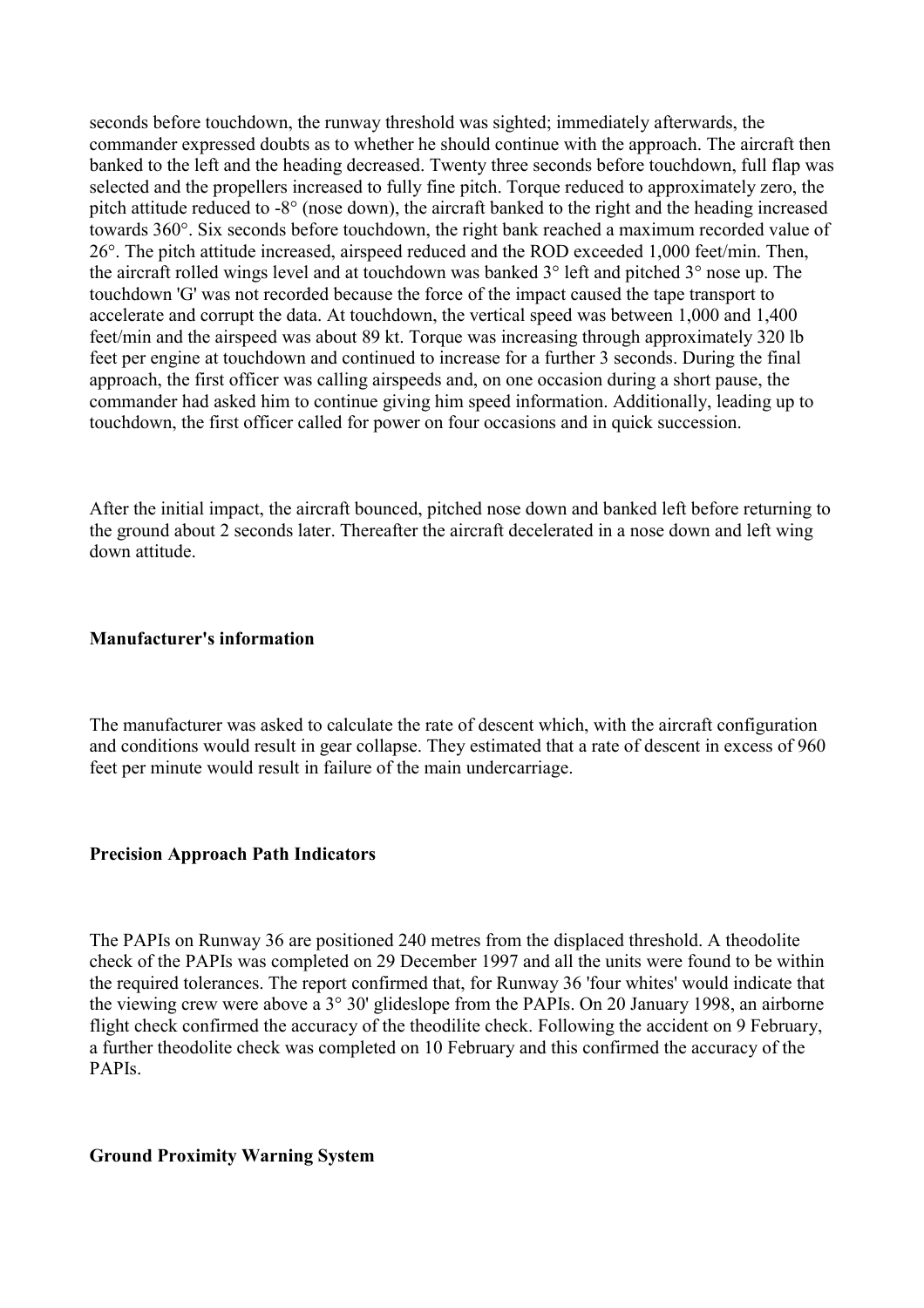seconds before touchdown, the runway threshold was sighted; immediately afterwards, the commander expressed doubts as to whether he should continue with the approach. The aircraft then banked to the left and the heading decreased. Twenty three seconds before touchdown, full flap was selected and the propellers increased to fully fine pitch. Torque reduced to approximately zero, the pitch attitude reduced to -8° (nose down), the aircraft banked to the right and the heading increased towards 360°. Six seconds before touchdown, the right bank reached a maximum recorded value of 26°. The pitch attitude increased, airspeed reduced and the ROD exceeded 1,000 feet/min. Then, the aircraft rolled wings level and at touchdown was banked 3° left and pitched 3° nose up. The touchdown 'G' was not recorded because the force of the impact caused the tape transport to accelerate and corrupt the data. At touchdown, the vertical speed was between 1,000 and 1,400 feet/min and the airspeed was about 89 kt. Torque was increasing through approximately 320 lb feet per engine at touchdown and continued to increase for a further 3 seconds. During the final approach, the first officer was calling airspeeds and, on one occasion during a short pause, the commander had asked him to continue giving him speed information. Additionally, leading up to touchdown, the first officer called for power on four occasions and in quick succession.

After the initial impact, the aircraft bounced, pitched nose down and banked left before returning to the ground about 2 seconds later. Thereafter the aircraft decelerated in a nose down and left wing down attitude.

#### **Manufacturer's information**

The manufacturer was asked to calculate the rate of descent which, with the aircraft configuration and conditions would result in gear collapse. They estimated that a rate of descent in excess of 960 feet per minute would result in failure of the main undercarriage.

#### **Precision Approach Path Indicators**

The PAPIs on Runway 36 are positioned 240 metres from the displaced threshold. A theodolite check of the PAPIs was completed on 29 December 1997 and all the units were found to be within the required tolerances. The report confirmed that, for Runway 36 'four whites' would indicate that the viewing crew were above a 3° 30' glideslope from the PAPIs. On 20 January 1998, an airborne flight check confirmed the accuracy of the theodilite check. Following the accident on 9 February, a further theodolite check was completed on 10 February and this confirmed the accuracy of the PAPIs.

#### **Ground Proximity Warning System**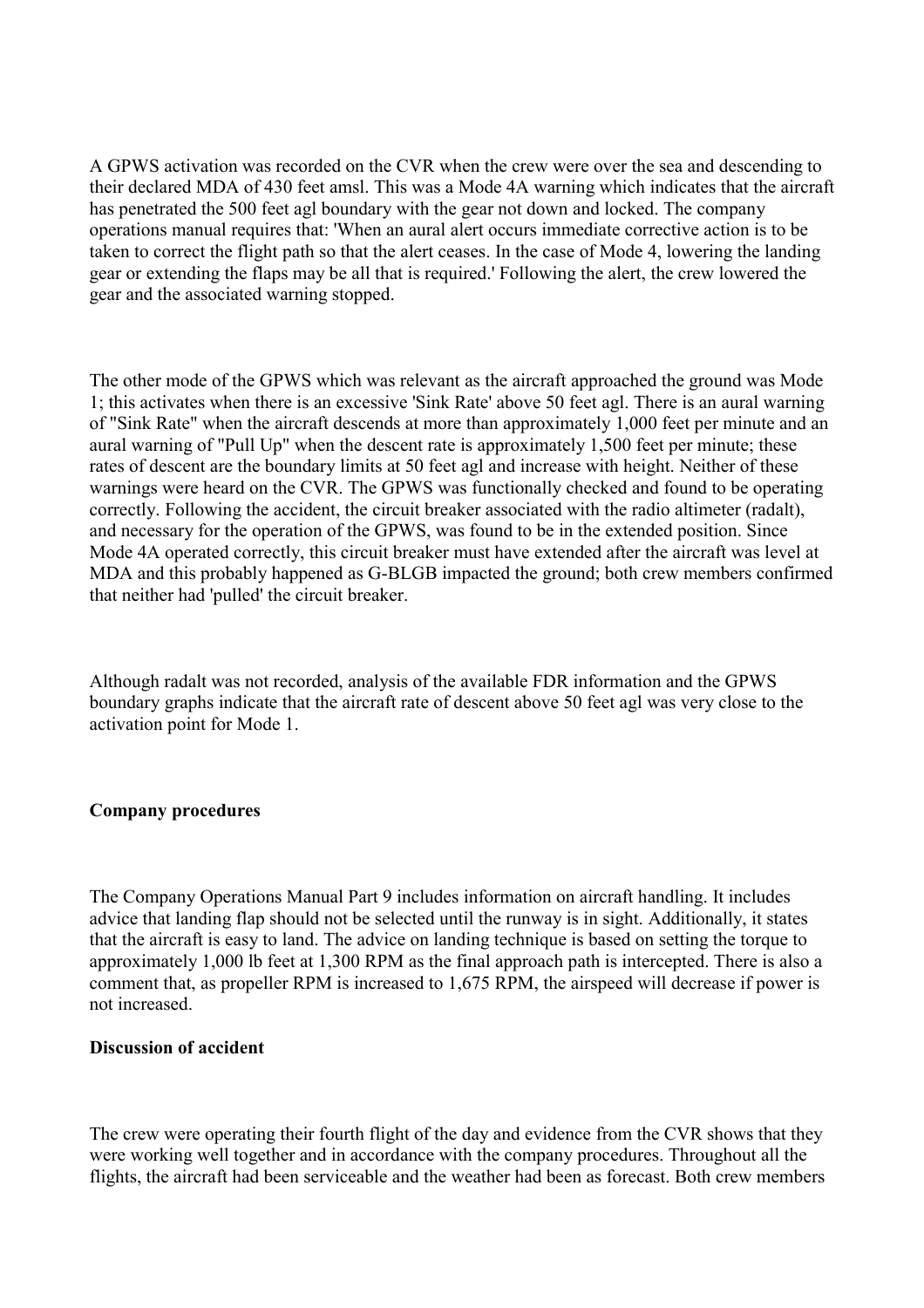A GPWS activation was recorded on the CVR when the crew were over the sea and descending to their declared MDA of 430 feet amsl. This was a Mode 4A warning which indicates that the aircraft has penetrated the 500 feet agl boundary with the gear not down and locked. The company operations manual requires that: 'When an aural alert occurs immediate corrective action is to be taken to correct the flight path so that the alert ceases. In the case of Mode 4, lowering the landing gear or extending the flaps may be all that is required.' Following the alert, the crew lowered the gear and the associated warning stopped.

The other mode of the GPWS which was relevant as the aircraft approached the ground was Mode 1; this activates when there is an excessive 'Sink Rate' above 50 feet agl. There is an aural warning of "Sink Rate" when the aircraft descends at more than approximately 1,000 feet per minute and an aural warning of "Pull Up" when the descent rate is approximately 1,500 feet per minute; these rates of descent are the boundary limits at 50 feet agl and increase with height. Neither of these warnings were heard on the CVR. The GPWS was functionally checked and found to be operating correctly. Following the accident, the circuit breaker associated with the radio altimeter (radalt), and necessary for the operation of the GPWS, was found to be in the extended position. Since Mode 4A operated correctly, this circuit breaker must have extended after the aircraft was level at MDA and this probably happened as G-BLGB impacted the ground; both crew members confirmed that neither had 'pulled' the circuit breaker.

Although radalt was not recorded, analysis of the available FDR information and the GPWS boundary graphs indicate that the aircraft rate of descent above 50 feet agl was very close to the activation point for Mode 1.

# **Company procedures**

The Company Operations Manual Part 9 includes information on aircraft handling. It includes advice that landing flap should not be selected until the runway is in sight. Additionally, it states that the aircraft is easy to land. The advice on landing technique is based on setting the torque to approximately 1,000 lb feet at 1,300 RPM as the final approach path is intercepted. There is also a comment that, as propeller RPM is increased to 1,675 RPM, the airspeed will decrease if power is not increased.

# **Discussion of accident**

The crew were operating their fourth flight of the day and evidence from the CVR shows that they were working well together and in accordance with the company procedures. Throughout all the flights, the aircraft had been serviceable and the weather had been as forecast. Both crew members